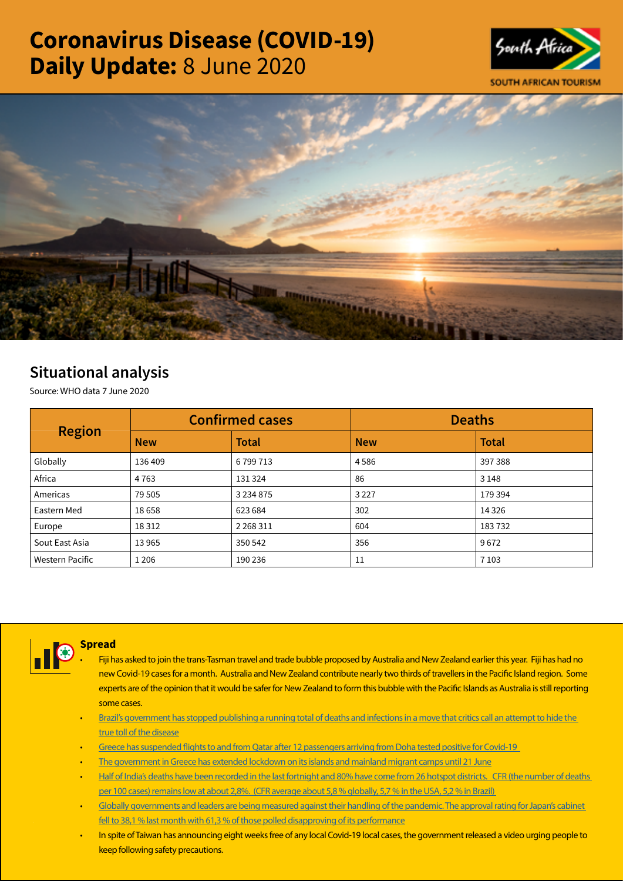# Coronavirus Disease (COVID-19) Daily Update: 8 June 2020





## Situational analysis

Source: WHO data 7 June 2020

| <b>Region</b>          |            | <b>Confirmed cases</b> | <b>Deaths</b> |              |  |
|------------------------|------------|------------------------|---------------|--------------|--|
|                        | <b>New</b> | <b>Total</b>           | <b>New</b>    | <b>Total</b> |  |
| Globally               | 136 409    | 6799713                | 4586          | 397 388      |  |
| Africa                 | 4 7 6 3    | 131 324                | 86            | 3 1 4 8      |  |
| Americas               | 79 505     | 3 2 3 4 8 7 5          | 3 2 2 7       | 179 394      |  |
| Eastern Med            | 18 6 58    | 623 684                | 302           | 14 3 26      |  |
| Europe                 | 18 3 12    | 2 2 68 3 11            | 604           | 183732       |  |
| Sout East Asia         | 13965      | 350 542                | 356           | 9672         |  |
| <b>Western Pacific</b> | 1 2 0 6    | 190 236                | 11            | 7 1 0 3      |  |



### **Spread**

- Fiji has asked to join the trans-Tasman travel and trade bubble proposed by Australia and New Zealand earlier this year. Fiji has had no new Covid-19 cases for a month. Australia and New Zealand contribute nearly two thirds of travellers in the Pacific Island region. Some experts are of the opinion that it would be safer for New Zealand to form this bubble with the Pacific Islands as Australia is still reporting some cases.
- [Brazil's government has stopped publishing a running total of deaths and infections in a move that critics call an attempt to hide the](https://t.co/r09RhRmJ4g?amp=1)  [true toll of the disease](https://t.co/r09RhRmJ4g?amp=1)
- Greece has suspended flights to and from Qatar after 12 passengers arriving from Doha tested positive for Covid-19
- [The government in Greece has extended lockdown on its islands and mainland migrant camps until 21 June](https://t.co/aqMMjprFbx?amp=1)
- [Half of India's deaths have been recorded in the last fortnight and 80% have come from 26 hotspot districts. CFR \(the number of deaths](https://t.co/oKtz5YT5OU?amp=1)  [per 100 cases\) remains low at about 2,8%. \(CFR average about 5,8 % globally, 5,7 % in the USA, 5,2 % in Brazil\)](https://t.co/oKtz5YT5OU?amp=1)
- [Globally governments and leaders are being measured against their handling of the pandemic. The approval rating for Japan's cabinet](https://t.co/Cr6DpmbcHv?amp=1)  [fell to 38,1 % last month with 61,3 % of those polled disapproving of its performance](https://t.co/Cr6DpmbcHv?amp=1)
- In spite of Taiwan has announcing eight weeks free of any local Covid-19 local cases, the government released a video urging people to keep following safety precautions.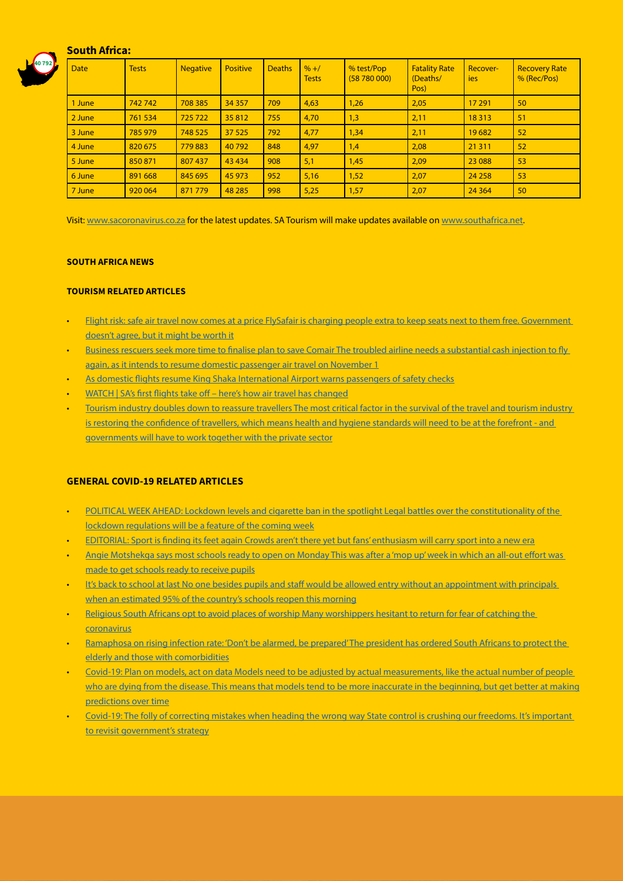#### South Africa:



| <b>Date</b> | <b>Tests</b> | <b>Negative</b> | <b>Positive</b> | <b>Deaths</b> | $% + /$<br><b>Tests</b> | % test/Pop<br>(58780000) | <b>Fatality Rate</b><br>(Deaths/<br>Pos) | Recover-<br>ies | <b>Recovery Rate</b><br>% (Rec/Pos) |
|-------------|--------------|-----------------|-----------------|---------------|-------------------------|--------------------------|------------------------------------------|-----------------|-------------------------------------|
| 1 June      | 742742       | 708 385         | 34 3 57         | 709           | 4,63                    | 1,26                     | 2,05                                     | 17 291          | 50                                  |
| 2 June      | 761 534      | 725722          | 35812           | 755           | 4,70                    | 1,3                      | 2,11                                     | 18 3 13         | 51                                  |
| 3 June      | 785 979      | 748 525         | 37 5 25         | 792           | 4,77                    | 1,34                     | 2,11                                     | 19682           | 52                                  |
| 4 June      | 820 675      | 779883          | 40792           | 848           | 4,97                    | 1,4                      | 2,08                                     | 21 3 11         | 52                                  |
| 5 June      | 850 871      | 807 437         | 43 4 34         | 908           | 5,1                     | 1,45                     | 2,09                                     | 23 088          | 53                                  |
| 6 June      | 891 668      | 845 695         | 45 973          | 952           | 5,16                    | 1,52                     | 2,07                                     | 24 25 8         | 53                                  |
| 7 June      | 920 064      | 871779          | 48 285          | 998           | 5,25                    | 1,57                     | 2,07                                     | 24 3 64         | 50                                  |

Visit: [www.sacoronavirus.co.za](http://www.sacoronavirus.co.za) for the latest updates. SA Tourism will make updates available on [www.southafrica.net.](http://www.southafrica.net)

#### SOUTH AFRICA NEWS

#### TOURISM RELATED ARTICLES

- [Flight risk: safe air travel now comes at a price FlySafair is charging people extra to keep seats next to them free. Government](https://select.timeslive.co.za/ideas/2020-06-08-flight-risk-the-new-face-of-air-travel-will-come-at-a-price-for-some/)  [doesn't agree, but it might be worth it](https://select.timeslive.co.za/ideas/2020-06-08-flight-risk-the-new-face-of-air-travel-will-come-at-a-price-for-some/)
- [Business rescuers seek more time to finalise plan to save Comair The troubled airline needs a substantial cash injection to fly](https://www.iol.co.za/business-report/companies/business-rescuers-seek-more-time-to-finalise-plan-to-save-comair-49111698)  [again, as it intends to resume domestic passenger air travel on November 1](https://www.iol.co.za/business-report/companies/business-rescuers-seek-more-time-to-finalise-plan-to-save-comair-49111698)
- [As domestic flights resume King Shaka International Airport warns passengers of safety checks](https://www.iol.co.za/sunday-tribune/news/as-domestic-flights-resume-king-shaka-international-airport-warns-passengers-of-safety-checks-49086790)
- [WATCH | SA's first flights take off here's how air travel has changed](https://www.businessinsider.co.za/cemair-first-domestic-flight-in-lockdown-2020-6)
- Tourism industry doubles down to reassure travellers The most critical factor in the survival of the travel and tourism industry is restoring the confidence of travellers, which means health and hygiene standards will need to be at the forefront - and [governments will have to work together with the private sector](https://www.news24.com/fin24/companies/travelandleisure/tourism-industry-doubles-down-to-reassure-travellers-20200606-2)

#### GENERAL COVID-19 RELATED ARTICLES

- POLITICAL WEEK AHEAD: Lockdown levels and cigarette ban in the spotlight Legal battles over the constitutionality of the [lockdown regulations will be a feature of the coming week](https://www.businesslive.co.za/bd/politics/2020-06-07-political-week-ahead-lockdown-levels-and-cigarette-ban-in-the-spotlight/)
- [EDITORIAL: Sport is finding its feet again Crowds aren't there yet but fans' enthusiasm will carry sport into a new era](https://www.businesslive.co.za/bd/politics/2020-06-07-political-week-ahead-lockdown-levels-and-cigarette-ban-in-the-spotlight/)
- [Angie Motshekga says most schools ready to open on Monday This was after a 'mop up' week in which an all-out effort was](https://www.businesslive.co.za/bd/national/education/2020-06-07-angie-motshekga-says-most-schools-ready-to-open-on-monday/)  [made to get schools ready to receive pupils](https://www.businesslive.co.za/bd/national/education/2020-06-07-angie-motshekga-says-most-schools-ready-to-open-on-monday/)
- It's back to school at last No one besides pupils and staff would be allowed entry without an appointment with principals [when an estimated 95% of the country's schools reopen this morning](https://www.iol.co.za/pretoria-news/its-back-to-school-at-last-49111666)
- Religious South Africans opt to avoid places of worship Many worshippers hesitant to return for fear of catching the [coronavirus](https://www.businesslive.co.za/bd/national/2020-06-07-religious-south-africans-opt-to-avoid-places-of-worship/)
- [Ramaphosa on rising infection rate: 'Don't be alarmed, be prepared' The president has ordered South Africans to protect the](https://www.thesouthafrican.com/news/ramaphosa-on-rising-covid-19-coronavirus-infections-8-june-2020/)  [elderly and those with comorbidities](https://www.thesouthafrican.com/news/ramaphosa-on-rising-covid-19-coronavirus-infections-8-june-2020/)
- [Covid-19: Plan on models, act on data Models need to be adjusted by actual measurements, like the actual number of people](https://www.dailymaverick.co.za/article/2020-06-08-covid-19-plan-on-models-act-on-data/#gsc.tab=0)  [who are dying from the disease. This means that models tend to be more inaccurate in the beginning, but get better at making](https://www.dailymaverick.co.za/article/2020-06-08-covid-19-plan-on-models-act-on-data/#gsc.tab=0) [predictions over time](https://www.dailymaverick.co.za/article/2020-06-08-covid-19-plan-on-models-act-on-data/#gsc.tab=0)
- [Covid-19: The folly of correcting mistakes when heading the wrong way State control is crushing our freedoms. It's important](https://www.moneyweb.co.za/moneyweb-opinion/covid-19-the-folly-of-correcting-mistakes-when-heading-the-wrong-way/)  [to revisit government's strategy](https://www.moneyweb.co.za/moneyweb-opinion/covid-19-the-folly-of-correcting-mistakes-when-heading-the-wrong-way/)